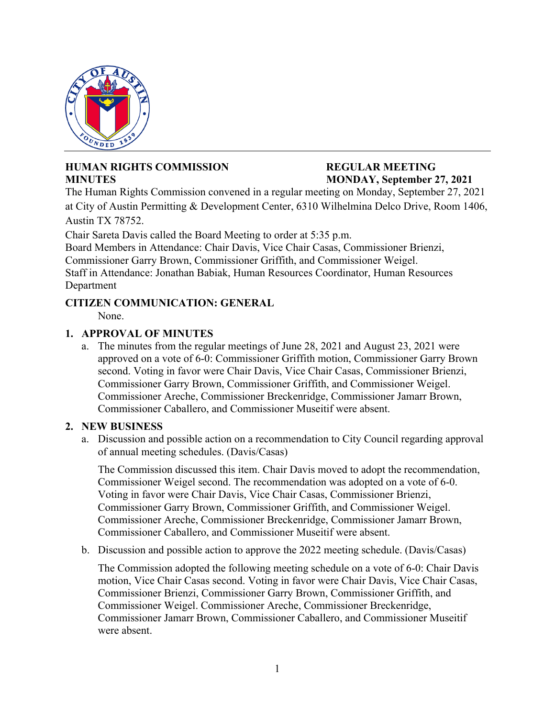

# **HUMAN RIGHTS COMMISSION REGULAR MEETING MINUTES MONDAY, September 27, 2021**

The Human Rights Commission convened in a regular meeting on Monday, September 27, 2021 at City of Austin Permitting & Development Center, 6310 Wilhelmina Delco Drive, Room 1406, Austin TX 78752.

Chair Sareta Davis called the Board Meeting to order at 5:35 p.m.

Board Members in Attendance: Chair Davis, Vice Chair Casas, Commissioner Brienzi, Commissioner Garry Brown, Commissioner Griffith, and Commissioner Weigel. Staff in Attendance: Jonathan Babiak, Human Resources Coordinator, Human Resources Department

# **CITIZEN COMMUNICATION: GENERAL**

None.

## **1. APPROVAL OF MINUTES**

a. The minutes from the regular meetings of June 28, 2021 and August 23, 2021 were approved on a vote of 6-0: Commissioner Griffith motion, Commissioner Garry Brown second. Voting in favor were Chair Davis, Vice Chair Casas, Commissioner Brienzi, Commissioner Garry Brown, Commissioner Griffith, and Commissioner Weigel. Commissioner Areche, Commissioner Breckenridge, Commissioner Jamarr Brown, Commissioner Caballero, and Commissioner Museitif were absent.

## **2. NEW BUSINESS**

a. Discussion and possible action on a recommendation to City Council regarding approval of annual meeting schedules. (Davis/Casas)

The Commission discussed this item. Chair Davis moved to adopt the recommendation, Commissioner Weigel second. The recommendation was adopted on a vote of 6-0. Voting in favor were Chair Davis, Vice Chair Casas, Commissioner Brienzi, Commissioner Garry Brown, Commissioner Griffith, and Commissioner Weigel. Commissioner Areche, Commissioner Breckenridge, Commissioner Jamarr Brown, Commissioner Caballero, and Commissioner Museitif were absent.

b. Discussion and possible action to approve the 2022 meeting schedule. (Davis/Casas)

The Commission adopted the following meeting schedule on a vote of 6-0: Chair Davis motion, Vice Chair Casas second. Voting in favor were Chair Davis, Vice Chair Casas, Commissioner Brienzi, Commissioner Garry Brown, Commissioner Griffith, and Commissioner Weigel. Commissioner Areche, Commissioner Breckenridge, Commissioner Jamarr Brown, Commissioner Caballero, and Commissioner Museitif were absent.